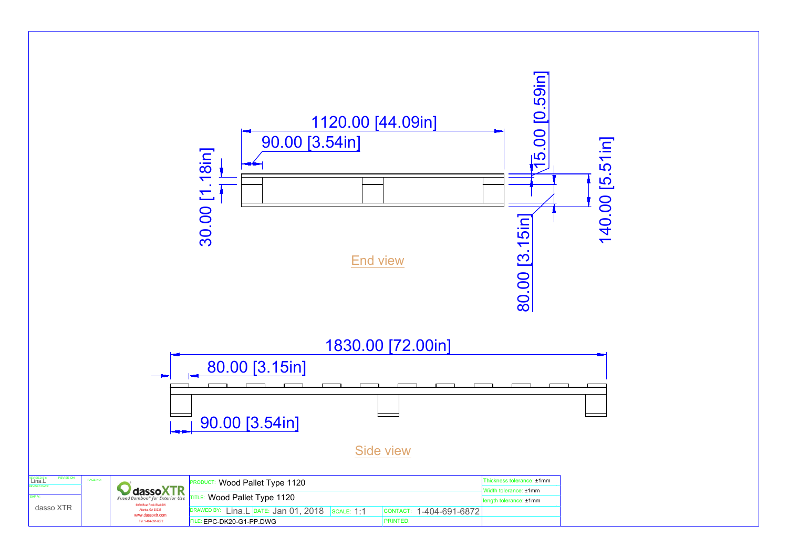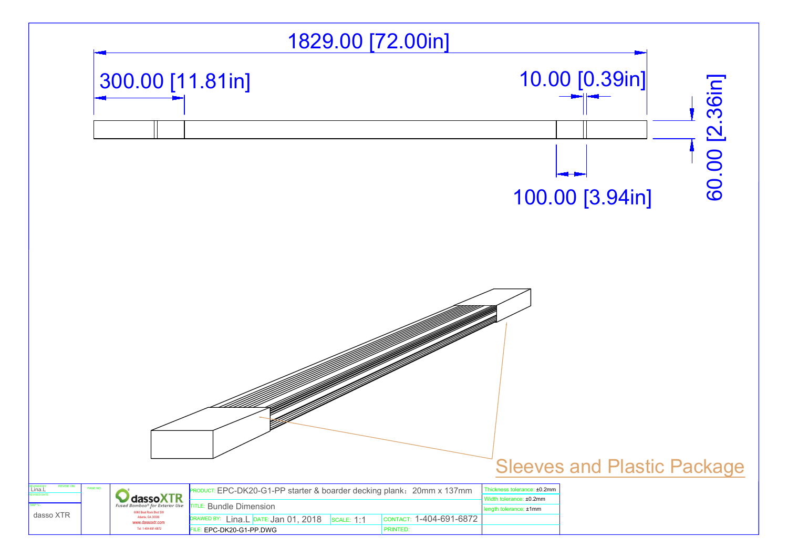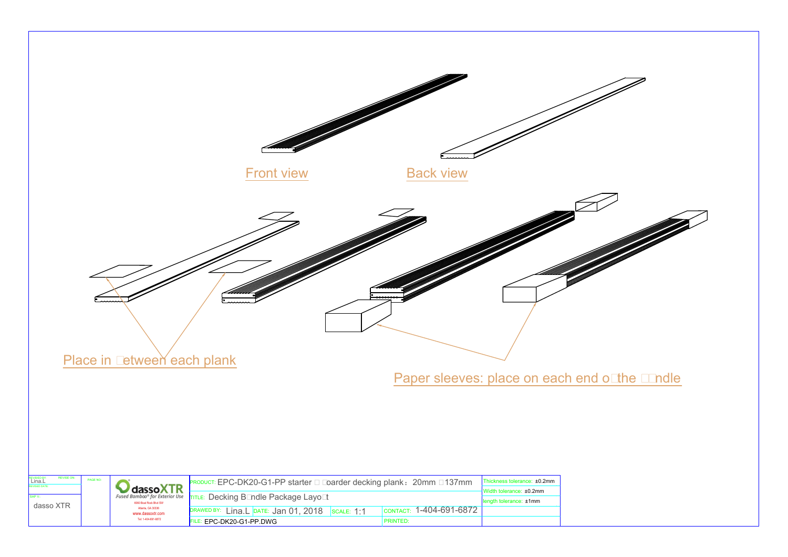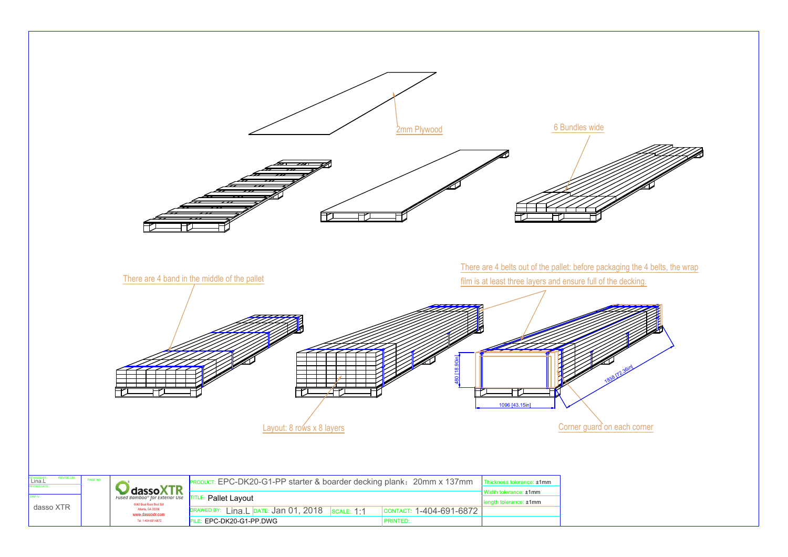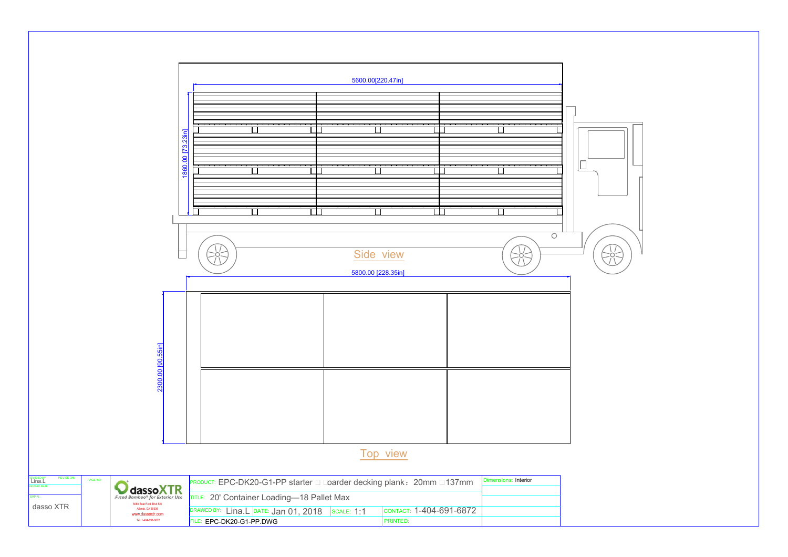